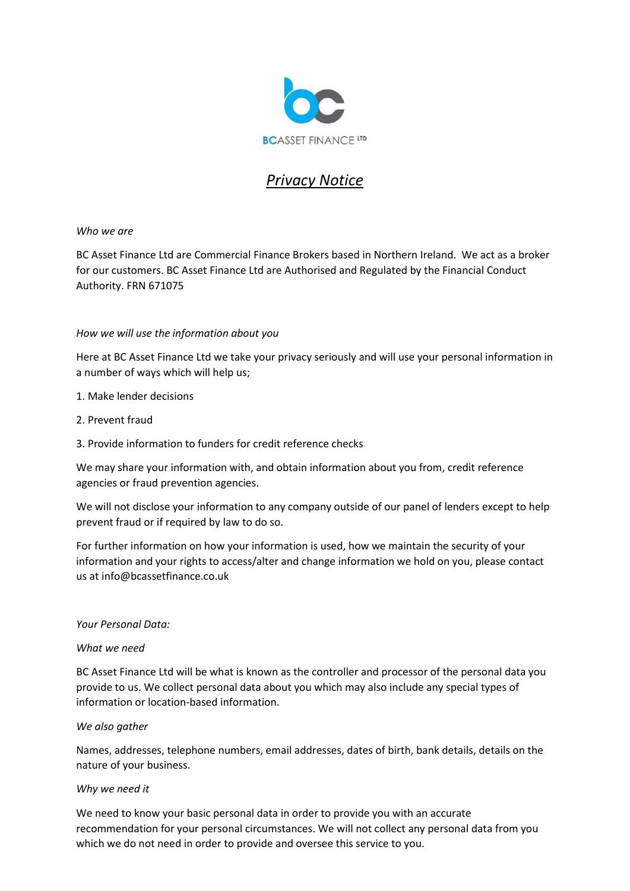

# *Privacy Notice*

## *Who we are*

BC Asset Finance Ltd are Commercial Finance Brokers based in Northern Ireland. We act as a broker for our customers. BC Asset Finance Ltd are Authorised and Regulated by the Financial Conduct Authority. FRN 671075

### *How we will use the information about you*

Here at BC Asset Finance Ltd we take your privacy seriously and will use your personal information in a number of ways which will help us;

- 1. Make lender decisions
- 2. Prevent fraud
- 3. Provide information to funders for credit reference checks

We may share your information with, and obtain information about you from, credit reference agencies or fraud prevention agencies.

We will not disclose your information to any company outside of our panel of lenders except to help prevent fraud or if required by law to do so.

For further information on how your information is used, how we maintain the security of your information and your rights to access/alter and change information we hold on you, please contact us at info@bcassetfinance.co.uk

#### *Your Personal Data:*

#### *What we need*

BC Asset Finance Ltd will be what is known as the controller and processor of the personal data you provide to us. We collect personal data about you which may also include any special types of information or location-based information.

#### *We also gather*

Names, addresses, telephone numbers, email addresses, dates of birth, bank details, details on the nature of your business.

#### *Why we need it*

We need to know your basic personal data in order to provide you with an accurate recommendation for your personal circumstances. We will not collect any personal data from you which we do not need in order to provide and oversee this service to you.